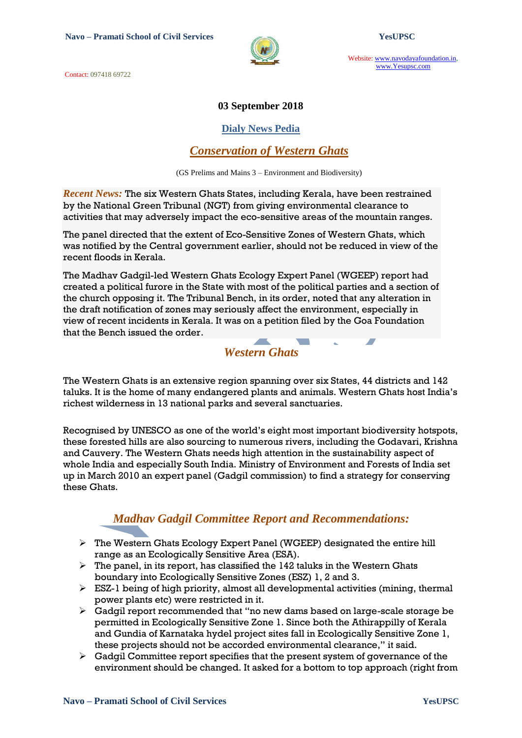Contact: 097418 69722



Website: www.navodayafoundation.in, www.Yesupsc.com

#### **03 September 2018**

#### **Dialy News Pedia**

#### *Conservation of Western Ghats*

(GS Prelims and Mains 3 – Environment and Biodiversity)

*Recent News:* The six Western Ghats States, including [Kerala,](https://www.thehindu.com/tag/150-81/kerala/?utm=bodytag) have been restrained by the National Green Tribunal (NGT) from giving environmental clearance to activities that may adversely impact the eco-sensitive areas of the mountain ranges.

The panel directed that the extent of Eco-Sensitive Zones of Western Ghats, which was notified by the Central government earlier, should not be reduced in view of the recent floods in Kerala.

The Madhav Gadgil-led Western Ghats Ecology Expert Panel (WGEEP) report had created a political furore in the State with most of the political parties and a section of the church opposing it. The Tribunal Bench, in its order, noted that any alteration in the draft notification of zones may seriously affect the environment, especially in view of recent incidents in Kerala. It was on a petition filed by the Goa Foundation that the Bench issued the order.  $\mathcal{L}(\mathcal{A})$  $\overline{\phantom{a}}$ 

### *Western Ghats*

The Western Ghats is an extensive region spanning over six States, 44 districts and 142 taluks. It is the home of many endangered plants and animals. Western Ghats host India"s richest wilderness in 13 national parks and several sanctuaries.

Recognised by UNESCO as one of the world"s eight most important biodiversity hotspots, these forested hills are also sourcing to numerous rivers, including the Godavari, Krishna and Cauvery. The Western Ghats needs high attention in the sustainability aspect of whole India and especially South India. Ministry of [Environment](http://envfor.nic.in/) and Forests of India set up in March 2010 an expert panel (Gadgil commission) to find a strategy for conserving these Ghats.

## *Madhav Gadgil Committee Report and Recommendations:*

- The Western Ghats Ecology Expert Panel (WGEEP) designated the entire hill range as an Ecologically Sensitive Area (ESA).
- $\triangleright$  The panel, in its report, has classified the 142 taluks in the Western Ghats boundary into Ecologically Sensitive Zones (ESZ) 1, 2 and 3.
- $\triangleright$  ESZ-1 being of high priority, almost all developmental activities (mining, thermal power plants etc) were restricted in it.
- $\triangleright$  Gadgil report recommended that "no new dams based on large-scale storage be permitted in Ecologically Sensitive Zone 1. Since both the Athirappilly of Kerala and Gundia of Karnataka hydel project sites fall in Ecologically Sensitive Zone 1, these projects should not be accorded environmental clearance," it said.
- $\triangleright$  Gadgil Committee report specifies that the present system of governance of the environment should be changed. It asked for a bottom to top approach (right from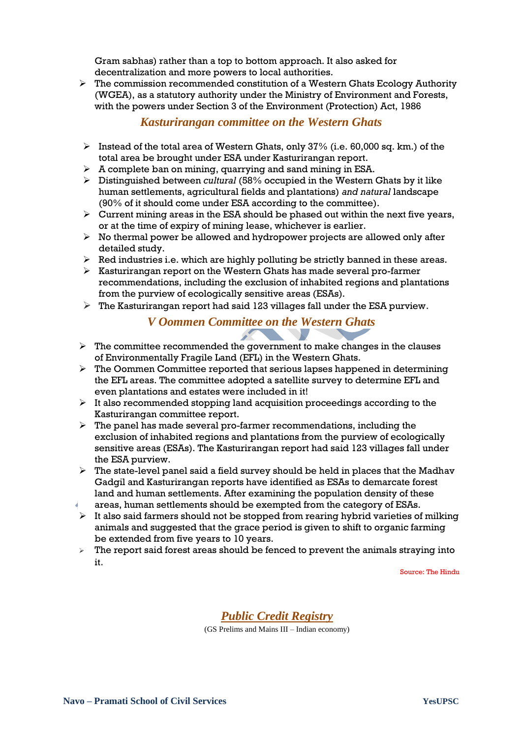Gram sabhas) rather than a top to bottom approach. It also asked for decentralization and more powers to local authorities.

 $\triangleright$  The commission recommended constitution of a Western Ghats Ecology Authority (WGEA), as a statutory authority under the Ministry of Environment and Forests, with the powers under Section 3 of the Environment (Protection) Act, 1986

#### *Kasturirangan committee on the Western Ghats*

- Instead of the total area of Western Ghats, only 37% (i.e. 60,000 sq. km.) of the total area be brought under ESA under Kasturirangan report.
- $\triangleright$  A complete ban on mining, quarrying and sand mining in ESA.
- Distinguished between *cultural* (58% occupied in the Western Ghats by it like human settlements, agricultural fields and plantations) *and natural* landscape (90% of it should come under ESA according to the committee).
- $\triangleright$  Current mining areas in the ESA should be phased out within the next five years, or at the time of expiry of mining lease, whichever is earlier.
- $\triangleright$  No thermal power be allowed and hydropower projects are allowed only after detailed study.
- $\triangleright$  Red industries i.e. which are highly polluting be strictly banned in these areas.
- $\triangleright$  Kasturirangan report on the Western Ghats has made several pro-farmer recommendations, including the exclusion of inhabited regions and plantations from the purview of ecologically sensitive areas (ESAs).
- $\triangleright$  The Kasturirangan report had said 123 villages fall under the ESA purview.

#### *V Oommen Committee on the Western Ghats*  $\mathcal{L}$

- $\triangleright$  The committee recommended the government to make changes in the clauses of Environmentally Fragile Land (EFL) in the Western Ghats.
- $\triangleright$  The Oommen Committee reported that serious lapses happened in determining the EFL areas. The committee adopted a satellite survey to determine EFL and even plantations and estates were included in it!
- $\triangleright$  It also recommended stopping land acquisition proceedings according to the Kasturirangan committee report.
- $\triangleright$  The panel has made several pro-farmer recommendations, including the exclusion of inhabited regions and plantations from the purview of ecologically sensitive areas (ESAs). The Kasturirangan report had said 123 villages fall under the ESA purview.
- $\triangleright$  The state-level panel said a field survey should be held in places that the Madhav Gadgil and Kasturirangan reports have identified as ESAs to demarcate forest land and human settlements. After examining the population density of these
- areas, human settlements should be exempted from the category of ESAs.
- $\triangleright$  It also said farmers should not be stopped from rearing hybrid varieties of milking animals and suggested that the grace period is given to shift to organic farming be extended from five years to 10 years.
- $\triangleright$  The report said forest areas should be fenced to prevent the animals straying into it.

Source: The Hindu

#### *Public Credit Registry*

(GS Prelims and Mains III – Indian economy)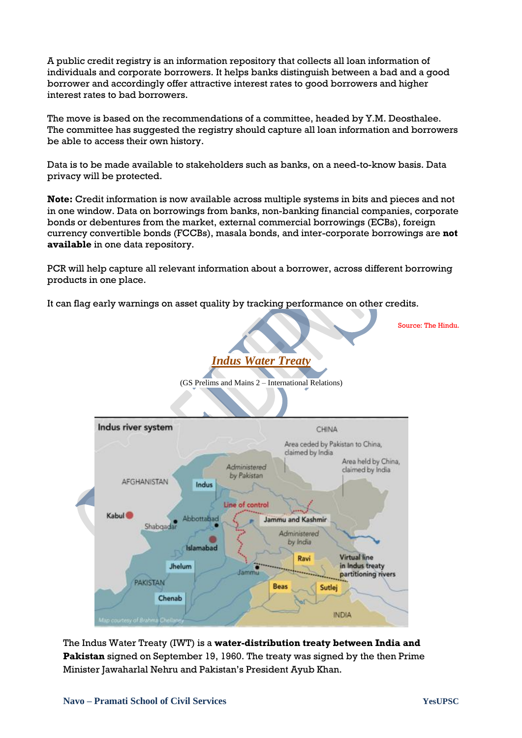A public credit registry is an information repository that collects all loan information of individuals and corporate borrowers. It helps banks distinguish between a bad and a good borrower and accordingly offer attractive interest rates to good borrowers and higher interest rates to bad borrowers.

The move is based on the recommendations of a committee, headed by Y.M. Deosthalee. The committee has suggested the registry should capture all loan information and borrowers be able to access their own history.

Data is to be made available to stakeholders such as banks, on a need-to-know basis. Data privacy will be protected.

**Note:** Credit information is now available across multiple systems in bits and pieces and not in one window. Data on borrowings from banks, non-banking financial companies, corporate bonds or debentures from the market, external commercial borrowings (ECBs), foreign currency convertible bonds (FCCBs), masala bonds, and inter-corporate borrowings are **not available** in one data repository.

PCR will help capture all relevant information about a borrower, across different borrowing products in one place.

It can flag early warnings on asset quality by tracking performance on other credits.

*Indus Water Treaty* (GS Prelims and Mains 2 – International Relations) Indus river system CHINA Area ceded by Pakistan to China, claimed by India Area held by China, Administered claimed by India by Pakistan AFGHANISTAN Indus Line of control Kabul<sup>®</sup> Abbottabad Jammu and Kashmir Shabqadar Administered by India Islamabad **Virtual line** Ravi in Indus treaty Jhelum lami partitioning rivers **PAKISTAN** Beas Sutlei Chenab **INDIA** 

The Indus Water Treaty (IWT) is a **water-distribution treaty between India and Pakistan** signed on September 19, 1960. The treaty was signed by the then Prime Minister Jawaharlal Nehru and Pakistan"s President Ayub Khan.

Source: The Hindu.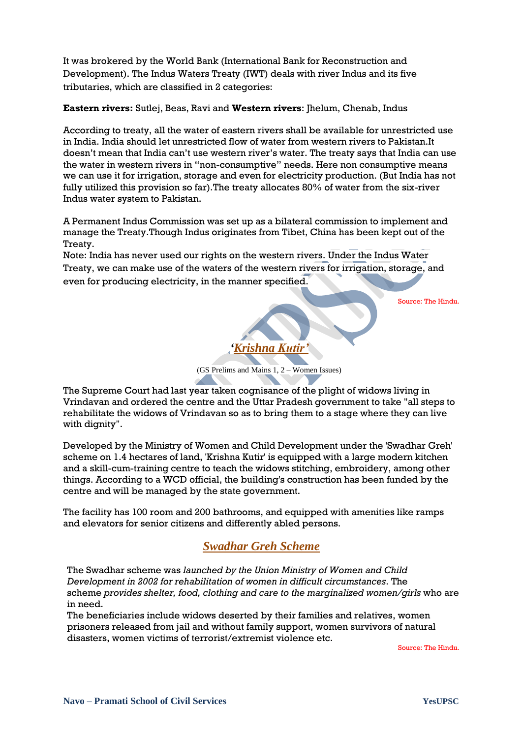It was brokered by the World Bank (International Bank for Reconstruction and Development). The Indus Waters Treaty (IWT) deals with river Indus and its five tributaries, which are classified in 2 categories:

**Eastern rivers:** Sutlej, Beas, Ravi and **Western rivers**: Jhelum, Chenab, Indus

According to treaty, all the water of eastern rivers shall be available for unrestricted use in India. India should let unrestricted flow of water from western rivers to Pakistan.It doesn"t mean that India can"t use western river"s water. The treaty says that India can use the water in western rivers in "non-consumptive" needs. Here non consumptive means we can use it for irrigation, storage and even for electricity production. (But India has not fully utilized this provision so far).The treaty allocates 80% of water from the six-river Indus water system to Pakistan.

A Permanent Indus Commission was set up as a bilateral commission to implement and manage the Treaty.Though Indus originates from Tibet, China has been kept out of the Treaty.

Note: India has never used our rights on the western rivers. Under the Indus Water Treaty, we can make use of the waters of the western rivers for irrigation, storage, and even for producing electricity, in the manner specified.

Source: The Hindu.



The Supreme Court had last year taken cognisance of the plight of widows living in Vrindavan and ordered the centre and the Uttar Pradesh government to take "all steps to rehabilitate the widows of Vrindavan so as to bring them to a stage where they can live with dignity".

Developed by the Ministry of Women and Child Development under the 'Swadhar Greh' scheme on 1.4 hectares of land, 'Krishna Kutir' is equipped with a large modern kitchen and a skill-cum-training centre to teach the widows stitching, embroidery, among other things. According to a WCD official, the building's construction has been funded by the centre and will be managed by the state government.

The facility has 100 room and 200 bathrooms, and equipped with amenities like ramps and elevators for senior citizens and differently abled persons.

## *Swadhar Greh Scheme*

The Swadhar scheme was *launched by the Union Ministry of Women and Child Development in 2002 for rehabilitation of women in difficult circumstances*. The scheme *provides shelter, food, clothing and care to the marginalized women/girls* who are in need.

The beneficiaries include widows deserted by their families and relatives, women prisoners released from jail and without family support, women survivors of natural disasters, women victims of terrorist/extremist violence etc.

Source: The Hindu.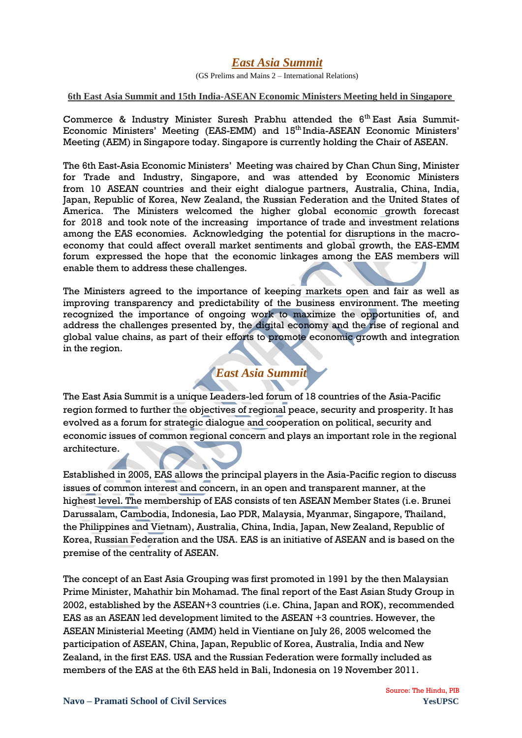### *East Asia Summit*

(GS Prelims and Mains 2 – International Relations)

#### **6th East Asia Summit and 15th India-ASEAN Economic Ministers Meeting held in Singapore**

Commerce & Industry Minister Suresh Prabhu attended the  $6<sup>th</sup>$  East Asia Summit-Economic Ministers' Meeting (EAS-EMM) and 15<sup>th</sup> India-ASEAN Economic Ministers' Meeting (AEM) in Singapore today. Singapore is currently holding the Chair of ASEAN.

The 6th East-Asia Economic Ministers" Meeting was chaired by Chan Chun Sing, Minister for Trade and Industry, Singapore, and was attended by Economic Ministers from 10 ASEAN countries and their eight dialogue partners, Australia, China, India, Japan, Republic of Korea, New Zealand, the Russian Federation and the United States of America. The Ministers welcomed the higher global economic growth forecast for 2018 and took note of the increasing importance of trade and investment relations among the EAS economies. Acknowledging the potential for disruptions in the macroeconomy that could affect overall market sentiments and global growth, the EAS-EMM forum expressed the hope that the economic linkages among the EAS members will enable them to address these challenges.

The Ministers agreed to the importance of keeping markets open and fair as well as improving transparency and predictability of the business environment. The meeting recognized the importance of ongoing work to maximize the opportunities of, and address the challenges presented by, the digital economy and the rise of regional and global value chains, as part of their efforts to promote economic growth and integration in the region.

# *East Asia Summit*

The East Asia Summit is a unique Leaders-led forum of 18 countries of the Asia-Pacific region formed to further the objectives of regional peace, security and prosperity. It has evolved as a forum for strategic dialogue and cooperation on political, security and economic issues of common regional concern and plays an important role in the regional architecture.

Established in 2005, EAS allows the principal players in the Asia-Pacific region to discuss issues of common interest and concern, in an open and transparent manner, at the highest level. The membership of EAS consists of ten ASEAN Member States (i.e. Brunei Darussalam, Cambodia, Indonesia, Lao PDR, Malaysia, Myanmar, Singapore, Thailand, the Philippines and Vietnam), Australia, China, India, Japan, New Zealand, Republic of Korea, Russian Federation and the USA. EAS is an initiative of ASEAN and is based on the premise of the centrality of ASEAN.

The concept of an East Asia Grouping was first promoted in 1991 by the then Malaysian Prime Minister, Mahathir bin Mohamad. The final report of the East Asian Study Group in 2002, established by the ASEAN+3 countries (i.e. China, Japan and ROK), recommended EAS as an ASEAN led development limited to the ASEAN +3 countries. However, the ASEAN Ministerial Meeting (AMM) held in Vientiane on July 26, 2005 welcomed the participation of ASEAN, China, Japan, Republic of Korea, Australia, India and New Zealand, in the first EAS. USA and the Russian Federation were formally included as members of the EAS at the 6th EAS held in Bali, Indonesia on 19 November 2011.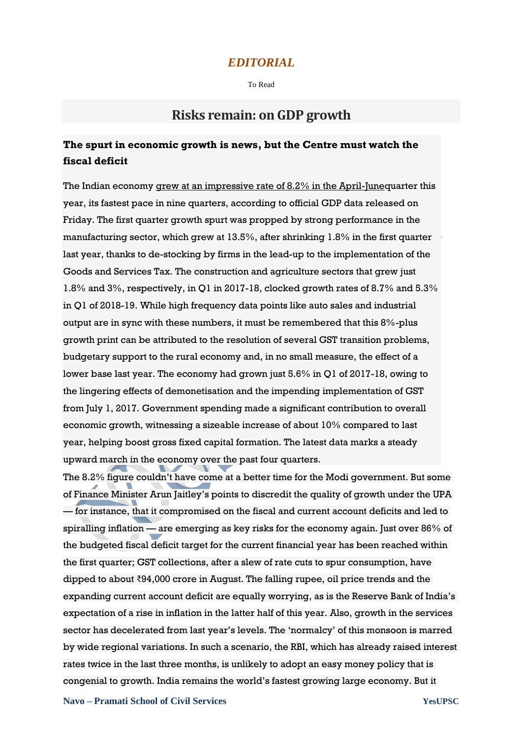#### *EDITORIAL*

To Read

## **Risks remain: on GDP growth**

## **The spurt in economic growth is news, but the Centre must watch the fiscal deficit**

The Indian economy [grew at an impressive rate of 8.2% in the April-Juneq](https://www.thehindu.com/business/Economy/indian-economy-grows-at-15-quarter-high-of-82-in-q1/article24832841.ece)uarter this year, its fastest pace in nine quarters, according to official GDP data released on Friday. The first quarter growth spurt was propped by strong performance in the manufacturing sector, which grew at 13.5%, after shrinking 1.8% in the first quarter last year, thanks to de-stocking by firms in the lead-up to the implementation of the Goods and Services Tax. The construction and agriculture sectors that grew just 1.8% and 3%, respectively, in Q1 in 2017-18, clocked growth rates of 8.7% and 5.3% in Q1 of 2018-19. While high frequency data points like auto sales and industrial output are in sync with these numbers, it must be remembered that this 8%-plus growth print can be attributed to the resolution of several GST transition problems, budgetary support to the rural economy and, in no small measure, the effect of a lower base last year. The economy had grown just 5.6% in Q1 of 2017-18, owing to the lingering effects of demonetisation and the impending implementation of GST from July 1, 2017. Government spending made a significant contribution to overall economic growth, witnessing a sizeable increase of about 10% compared to last year, helping boost gross fixed capital formation. The latest data marks a steady upward march in the economy over the past four quarters.

The 8.2% figure couldn"t have come at a better time for the Modi government. But some of Finance Minister Arun Jaitley"s points to discredit the quality of growth under the UPA — for instance, that it compromised on the fiscal and current account deficits and led to spiralling inflation — are emerging as key risks for the economy again. Just over 86% of the budgeted fiscal deficit target for the current financial year has been reached within the first quarter; GST collections, after a slew of rate cuts to spur consumption, have dipped to about ₹94,000 crore in August. The falling rupee, oil price trends and the expanding current account deficit are equally worrying, as is the Reserve Bank of India"s expectation of a rise in inflation in the latter half of this year. Also, growth in the services sector has decelerated from last year"s levels. The "normalcy" of this monsoon is marred by wide regional variations. In such a scenario, the RBI, which has already raised interest rates twice in the last three months, is unlikely to adopt an easy money policy that is congenial to growth. India remains the world"s fastest growing large economy. But it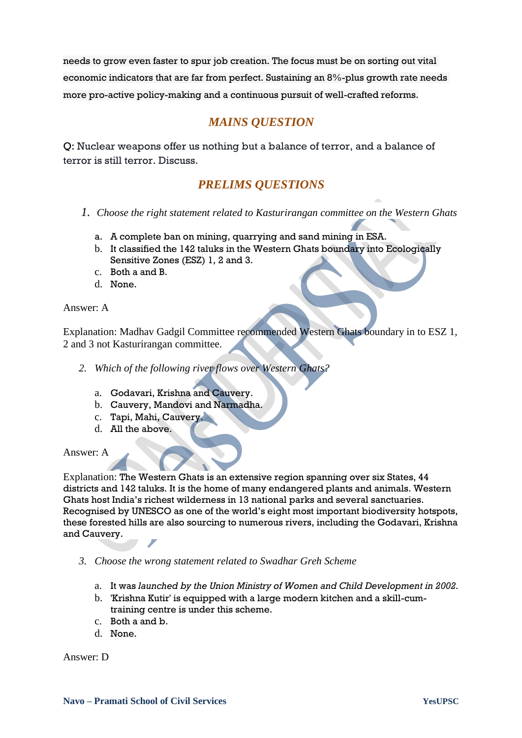needs to grow even faster to spur job creation. The focus must be on sorting out vital economic indicators that are far from perfect. Sustaining an 8%-plus growth rate needs more pro-active policy-making and a continuous pursuit of well-crafted reforms.

## *MAINS QUESTION*

Q: Nuclear weapons offer us nothing but a balance of terror, and a balance of terror is still terror. Discuss.

## *PRELIMS QUESTIONS*

- *1. Choose the right statement related to Kasturirangan committee on the Western Ghats*
	- a. A complete ban on mining, quarrying and sand mining in ESA.
	- b. It classified the 142 taluks in the Western Ghats boundary into Ecologically Sensitive Zones (ESZ) 1, 2 and 3.
	- c. Both a and B.
	- d. None.

#### Answer: A

Explanation: Madhav Gadgil Committee recommended Western Ghats boundary in to ESZ 1, 2 and 3 not Kasturirangan committee.

- *2. Which of the following river flows over Western Ghats?*
	- a. Godavari, Krishna and Cauvery.
	- b. Cauvery, Mandovi and Narmadha.
	- c. Tapi, Mahi, Cauvery.
	- d. All the above.

Answer: A

Explanation: The Western Ghats is an extensive region spanning over six States, 44 districts and 142 taluks. It is the home of many endangered plants and animals. Western Ghats host India"s richest wilderness in 13 national parks and several sanctuaries. Recognised by UNESCO as one of the world"s eight most important biodiversity hotspots, these forested hills are also sourcing to numerous rivers, including the Godavari, Krishna and Cauvery.

- *3. Choose the wrong statement related to Swadhar Greh Scheme*
	- a. It was *launched by the Union Ministry of Women and Child Development in 2002.*
	- b. 'Krishna Kutir' is equipped with a large modern kitchen and a skill-cumtraining centre is under this scheme.
	- c. Both a and b.
	- d. None.

Answer: D